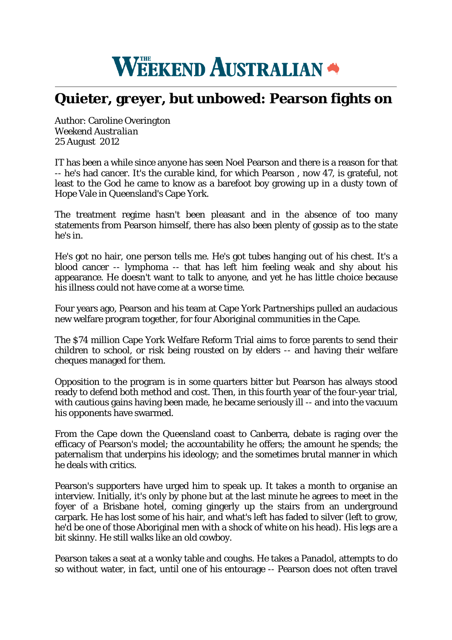## **WEEKEND AUSTRALIAN**

## **Quieter, greyer, but unbowed: Pearson fights on**

Author: Caroline Overington *Weekend Australian* 25 August 2012

IT has been a while since anyone has seen Noel Pearson and there is a reason for that -- he's had cancer. It's the curable kind, for which Pearson , now 47, is grateful, not least to the God he came to know as a barefoot boy growing up in a dusty town of Hope Vale in Queensland's Cape York.

The treatment regime hasn't been pleasant and in the absence of too many statements from Pearson himself, there has also been plenty of gossip as to the state he's in.

He's got no hair, one person tells me. He's got tubes hanging out of his chest. It's a blood cancer -- lymphoma -- that has left him feeling weak and shy about his appearance. He doesn't want to talk to anyone, and yet he has little choice because his illness could not have come at a worse time.

Four years ago, Pearson and his team at Cape York Partnerships pulled an audacious new welfare program together, for four Aboriginal communities in the Cape.

The \$74 million Cape York Welfare Reform Trial aims to force parents to send their children to school, or risk being rousted on by elders -- and having their welfare cheques managed for them.

Opposition to the program is in some quarters bitter but Pearson has always stood ready to defend both method and cost. Then, in this fourth year of the four-year trial, with cautious gains having been made, he became seriously ill -- and into the vacuum his opponents have swarmed.

From the Cape down the Queensland coast to Canberra, debate is raging over the efficacy of Pearson's model; the accountability he offers; the amount he spends; the paternalism that underpins his ideology; and the sometimes brutal manner in which he deals with critics.

Pearson's supporters have urged him to speak up. It takes a month to organise an interview. Initially, it's only by phone but at the last minute he agrees to meet in the foyer of a Brisbane hotel, coming gingerly up the stairs from an underground carpark. He has lost some of his hair, and what's left has faded to silver (left to grow, he'd be one of those Aboriginal men with a shock of white on his head). His legs are a bit skinny. He still walks like an old cowboy.

Pearson takes a seat at a wonky table and coughs. He takes a Panadol, attempts to do so without water, in fact, until one of his entourage -- Pearson does not often travel